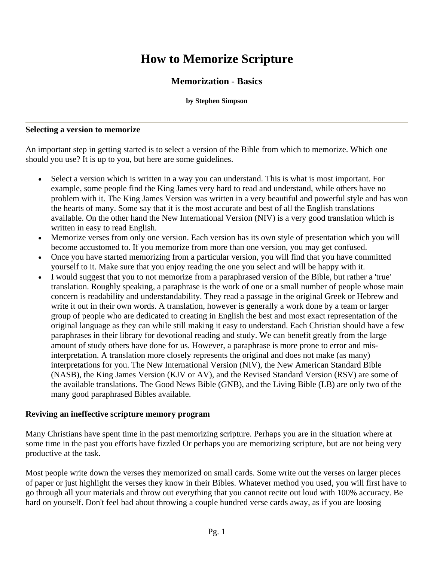# **How to Memorize Scripture**

# **Memorization - Basics**

#### **by Stephen Simpson**

#### **Selecting a version to memorize**

An important step in getting started is to select a version of the Bible from which to memorize. Which one should you use? It is up to you, but here are some guidelines.

- Select a version which is written in a way you can understand. This is what is most important. For example, some people find the King James very hard to read and understand, while others have no problem with it. The King James Version was written in a very beautiful and powerful style and has won the hearts of many. Some say that it is the most accurate and best of all the English translations available. On the other hand the New International Version (NIV) is a very good translation which is written in easy to read English.
- Memorize verses from only one version. Each version has its own style of presentation which you will become accustomed to. If you memorize from more than one version, you may get confused.
- Once you have started memorizing from a particular version, you will find that you have committed yourself to it. Make sure that you enjoy reading the one you select and will be happy with it.
- I would suggest that you to not memorize from a paraphrased version of the Bible, but rather a 'true' translation. Roughly speaking, a paraphrase is the work of one or a small number of people whose main concern is readability and understandability. They read a passage in the original Greek or Hebrew and write it out in their own words. A translation, however is generally a work done by a team or larger group of people who are dedicated to creating in English the best and most exact representation of the original language as they can while still making it easy to understand. Each Christian should have a few paraphrases in their library for devotional reading and study. We can benefit greatly from the large amount of study others have done for us. However, a paraphrase is more prone to error and misinterpretation. A translation more closely represents the original and does not make (as many) interpretations for you. The New International Version (NIV), the New American Standard Bible (NASB), the King James Version (KJV or AV), and the Revised Standard Version (RSV) are some of the available translations. The Good News Bible (GNB), and the Living Bible (LB) are only two of the many good paraphrased Bibles available.

#### **Reviving an ineffective scripture memory program**

Many Christians have spent time in the past memorizing scripture. Perhaps you are in the situation where at some time in the past you efforts have fizzled Or perhaps you are memorizing scripture, but are not being very productive at the task.

Most people write down the verses they memorized on small cards. Some write out the verses on larger pieces of paper or just highlight the verses they know in their Bibles. Whatever method you used, you will first have to go through all your materials and throw out everything that you cannot recite out loud with 100% accuracy. Be hard on yourself. Don't feel bad about throwing a couple hundred verse cards away, as if you are loosing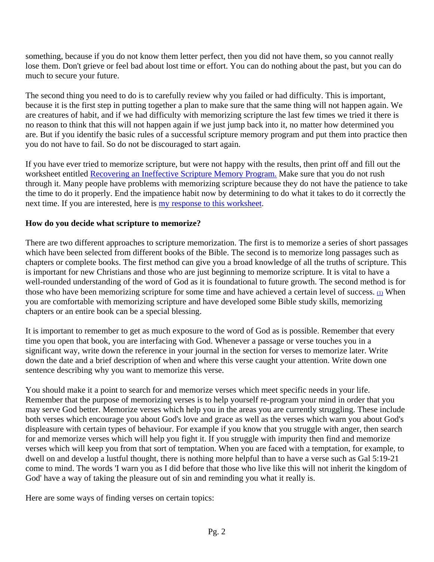something, because if you do not know them letter perfect, then you did not have them, so you cannot really lose them. Don't grieve or feel bad about lost time or effort. You can do nothing about the past, but you can do much to secure your future.

The second thing you need to do is to carefully review why you failed or had difficulty. This is important, because it is the first step in putting together a plan to make sure that the same thing will not happen again. We are creatures of habit, and if we had difficulty with memorizing scripture the last few times we tried it there is no reason to think that this will not happen again if we just jump back into it, no matter how determined you are. But if you identify the basic rules of a successful scripture memory program and put them into practice then you do not have to fail. So do not be discouraged to start again.

If you have ever tried to memorize scripture, but were not happy with the results, then print off and fill out the worksheet entitled [Recovering an Ineffective Scripture Memory Program.](http://www.memoryverses.org/smc/study1.htm) Make sure that you do not rush through it. Many people have problems with memorizing scripture because they do not have the patience to take the time to do it properly. End the impatience habit now by determining to do what it takes to do it correctly the next time. If you are interested, here is [my response to this worksheet](http://www.memoryverses.org/smc/study1ss.htm).

# **How do you decide what scripture to memorize?**

There are two different approaches to scripture memorization. The first is to memorize a series of short passages which have been selected from different books of the Bible. The second is to memorize long passages such as chapters or complete books. The first method can give you a broad knowledge of all the truths of scripture. This is important for new Christians and those who are just beginning to memorize scripture. It is vital to have a well-rounded understanding of the word of God as it is foundational to future growth. The second method is for those who have been memorizing scripture for some time and have achieved a certain level of success.  $\mathbf{u}$  When you are comfortable with memorizing scripture and have developed some Bible study skills, memorizing chapters or an entire book can be a special blessing.

It is important to remember to get as much exposure to the word of God as is possible. Remember that every time you open that book, you are interfacing with God. Whenever a passage or verse touches you in a significant way, write down the reference in your journal in the section for verses to memorize later. Write down the date and a brief description of when and where this verse caught your attention. Write down one sentence describing why you want to memorize this verse.

You should make it a point to search for and memorize verses which meet specific needs in your life. Remember that the purpose of memorizing verses is to help yourself re-program your mind in order that you may serve God better. Memorize verses which help you in the areas you are currently struggling. These include both verses which encourage you about God's love and grace as well as the verses which warn you about God's displeasure with certain types of behaviour. For example if you know that you struggle with anger, then search for and memorize verses which will help you fight it. If you struggle with impurity then find and memorize verses which will keep you from that sort of temptation. When you are faced with a temptation, for example, to dwell on and develop a lustful thought, there is nothing more helpful than to have a verse such as Gal 5:19-21 come to mind. The words 'I warn you as I did before that those who live like this will not inherit the kingdom of God' have a way of taking the pleasure out of sin and reminding you what it really is.

Here are some ways of finding verses on certain topics: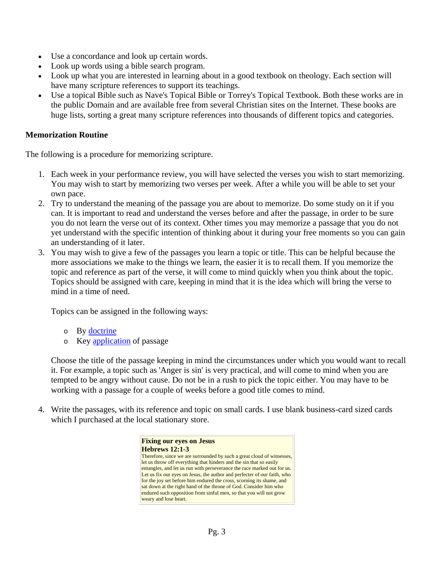- Use a concordance and look up certain words.
- Look up words using a bible search program.
- Look up what you are interested in learning about in a good textbook on theology. Each section will have many scripture references to support its teachings.
- Use a topical Bible such as Nave's Topical Bible or Torrey's Topical Textbook. Both these works are in the public Domain and are available free from several Christian sites on the Internet. These books are huge lists, sorting a great many scripture references into thousands of different topics and categories.

### **Memorization Routine**

The following is a procedure for memorizing scripture.

- 1. Each week in your performance review, you will have selected the verses you wish to start memorizing. You may wish to start by memorizing two verses per week. After a while you will be able to set your own pace.
- 2. Try to understand the meaning of the passage you are about to memorize. Do some study on it if you can. It is important to read and understand the verses before and after the passage, in order to be sure you do not learn the verse out of its context. Other times you may memorize a passage that you do not yet understand with the specific intention of thinking about it during your free moments so you can gain an understanding of it later.
- 3. You may wish to give a few of the passages you learn a topic or title. This can be helpful because the more associations we make to the things we learn, the easier it is to recall them. If you memorize the topic and reference as part of the verse, it will come to mind quickly when you think about the topic. Topics should be assigned with care, keeping in mind that it is the idea which will bring the verse to mind in a time of need.

Topics can be assigned in the following ways:

- o By [doctrine](http://www.memoryverses.org/smc/topics.htm#doctrine)
- o Key [application](http://www.memoryverses.org/smc/topics.htm#application) of passage

Choose the title of the passage keeping in mind the circumstances under which you would want to recall it. For example, a topic such as 'Anger is sin' is very practical, and will come to mind when you are tempted to be angry without cause. Do not be in a rush to pick the topic either. You may have to be working with a passage for a couple of weeks before a good title comes to mind.

4. Write the passages, with its reference and topic on small cards. I use blank business-card sized cards which I purchased at the local stationary store.

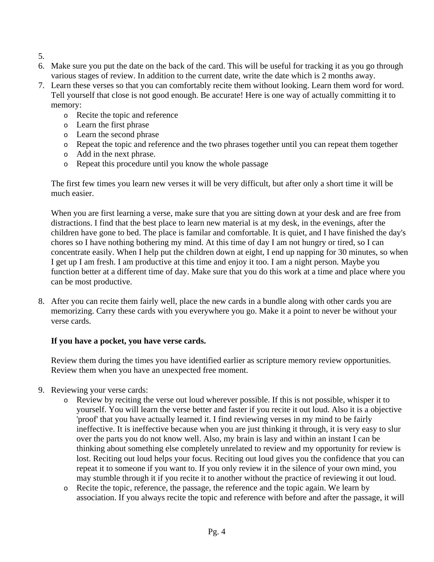- 5.
- 6. Make sure you put the date on the back of the card. This will be useful for tracking it as you go through various stages of review. In addition to the current date, write the date which is 2 months away.
- 7. Learn these verses so that you can comfortably recite them without looking. Learn them word for word. Tell yourself that close is not good enough. Be accurate! Here is one way of actually committing it to memory:
	- o Recite the topic and reference
	- o Learn the first phrase
	- o Learn the second phrase
	- o Repeat the topic and reference and the two phrases together until you can repeat them together
	- o Add in the next phrase.
	- o Repeat this procedure until you know the whole passage

The first few times you learn new verses it will be very difficult, but after only a short time it will be much easier.

When you are first learning a verse, make sure that you are sitting down at your desk and are free from distractions. I find that the best place to learn new material is at my desk, in the evenings, after the children have gone to bed. The place is familar and comfortable. It is quiet, and I have finished the day's chores so I have nothing bothering my mind. At this time of day I am not hungry or tired, so I can concentrate easily. When I help put the children down at eight, I end up napping for 30 minutes, so when I get up I am fresh. I am productive at this time and enjoy it too. I am a night person. Maybe you function better at a different time of day. Make sure that you do this work at a time and place where you can be most productive.

8. After you can recite them fairly well, place the new cards in a bundle along with other cards you are memorizing. Carry these cards with you everywhere you go. Make it a point to never be without your verse cards.

# **If you have a pocket, you have verse cards.**

Review them during the times you have identified earlier as scripture memory review opportunities. Review them when you have an unexpected free moment.

- 9. Reviewing your verse cards:
	- o Review by reciting the verse out loud wherever possible. If this is not possible, whisper it to yourself. You will learn the verse better and faster if you recite it out loud. Also it is a objective 'proof' that you have actually learned it. I find reviewing verses in my mind to be fairly ineffective. It is ineffective because when you are just thinking it through, it is very easy to slur over the parts you do not know well. Also, my brain is lasy and within an instant I can be thinking about something else completely unrelated to review and my opportunity for review is lost. Reciting out loud helps your focus. Reciting out loud gives you the confidence that you can repeat it to someone if you want to. If you only review it in the silence of your own mind, you may stumble through it if you recite it to another without the practice of reviewing it out loud.
	- o Recite the topic, reference, the passage, the reference and the topic again. We learn by association. If you always recite the topic and reference with before and after the passage, it will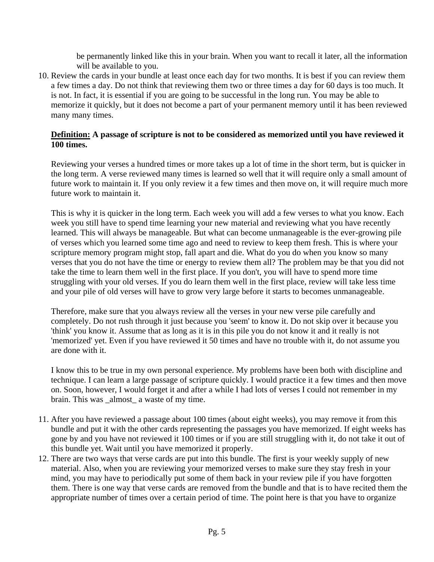be permanently linked like this in your brain. When you want to recall it later, all the information will be available to you.

10. Review the cards in your bundle at least once each day for two months. It is best if you can review them a few times a day. Do not think that reviewing them two or three times a day for 60 days is too much. It is not. In fact, it is essential if you are going to be successful in the long run. You may be able to memorize it quickly, but it does not become a part of your permanent memory until it has been reviewed many many times.

## **Definition: A passage of scripture is not to be considered as memorized until you have reviewed it 100 times.**

Reviewing your verses a hundred times or more takes up a lot of time in the short term, but is quicker in the long term. A verse reviewed many times is learned so well that it will require only a small amount of future work to maintain it. If you only review it a few times and then move on, it will require much more future work to maintain it.

This is why it is quicker in the long term. Each week you will add a few verses to what you know. Each week you still have to spend time learning your new material and reviewing what you have recently learned. This will always be manageable. But what can become unmanageable is the ever-growing pile of verses which you learned some time ago and need to review to keep them fresh. This is where your scripture memory program might stop, fall apart and die. What do you do when you know so many verses that you do not have the time or energy to review them all? The problem may be that you did not take the time to learn them well in the first place. If you don't, you will have to spend more time struggling with your old verses. If you do learn them well in the first place, review will take less time and your pile of old verses will have to grow very large before it starts to becomes unmanageable.

Therefore, make sure that you always review all the verses in your new verse pile carefully and completely. Do not rush through it just because you 'seem' to know it. Do not skip over it because you 'think' you know it. Assume that as long as it is in this pile you do not know it and it really is not 'memorized' yet. Even if you have reviewed it 50 times and have no trouble with it, do not assume you are done with it.

I know this to be true in my own personal experience. My problems have been both with discipline and technique. I can learn a large passage of scripture quickly. I would practice it a few times and then move on. Soon, however, I would forget it and after a while I had lots of verses I could not remember in my brain. This was \_almost\_ a waste of my time.

- 11. After you have reviewed a passage about 100 times (about eight weeks), you may remove it from this bundle and put it with the other cards representing the passages you have memorized. If eight weeks has gone by and you have not reviewed it 100 times or if you are still struggling with it, do not take it out of this bundle yet. Wait until you have memorized it properly.
- 12. There are two ways that verse cards are put into this bundle. The first is your weekly supply of new material. Also, when you are reviewing your memorized verses to make sure they stay fresh in your mind, you may have to periodically put some of them back in your review pile if you have forgotten them. There is one way that verse cards are removed from the bundle and that is to have recited them the appropriate number of times over a certain period of time. The point here is that you have to organize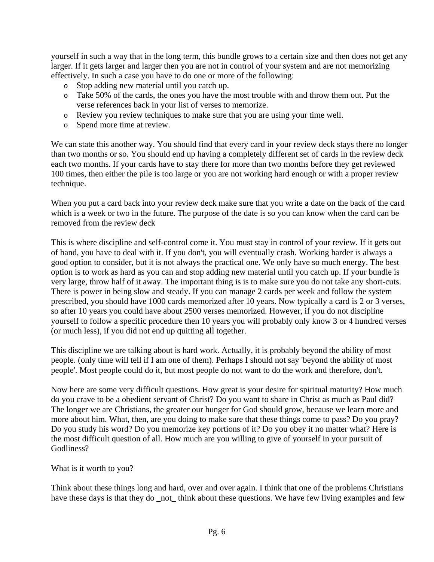yourself in such a way that in the long term, this bundle grows to a certain size and then does not get any larger. If it gets larger and larger then you are not in control of your system and are not memorizing effectively. In such a case you have to do one or more of the following:

- o Stop adding new material until you catch up.
- o Take 50% of the cards, the ones you have the most trouble with and throw them out. Put the verse references back in your list of verses to memorize.
- o Review you review techniques to make sure that you are using your time well.
- o Spend more time at review.

We can state this another way. You should find that every card in your review deck stays there no longer than two months or so. You should end up having a completely different set of cards in the review deck each two months. If your cards have to stay there for more than two months before they get reviewed 100 times, then either the pile is too large or you are not working hard enough or with a proper review technique.

When you put a card back into your review deck make sure that you write a date on the back of the card which is a week or two in the future. The purpose of the date is so you can know when the card can be removed from the review deck

This is where discipline and self-control come it. You must stay in control of your review. If it gets out of hand, you have to deal with it. If you don't, you will eventually crash. Working harder is always a good option to consider, but it is not always the practical one. We only have so much energy. The best option is to work as hard as you can and stop adding new material until you catch up. If your bundle is very large, throw half of it away. The important thing is is to make sure you do not take any short-cuts. There is power in being slow and steady. If you can manage 2 cards per week and follow the system prescribed, you should have 1000 cards memorized after 10 years. Now typically a card is 2 or 3 verses, so after 10 years you could have about 2500 verses memorized. However, if you do not discipline yourself to follow a specific procedure then 10 years you will probably only know 3 or 4 hundred verses (or much less), if you did not end up quitting all together.

This discipline we are talking about is hard work. Actually, it is probably beyond the ability of most people. (only time will tell if I am one of them). Perhaps I should not say 'beyond the ability of most people'. Most people could do it, but most people do not want to do the work and therefore, don't.

Now here are some very difficult questions. How great is your desire for spiritual maturity? How much do you crave to be a obedient servant of Christ? Do you want to share in Christ as much as Paul did? The longer we are Christians, the greater our hunger for God should grow, because we learn more and more about him. What, then, are you doing to make sure that these things come to pass? Do you pray? Do you study his word? Do you memorize key portions of it? Do you obey it no matter what? Here is the most difficult question of all. How much are you willing to give of yourself in your pursuit of Godliness?

What is it worth to you?

Think about these things long and hard, over and over again. I think that one of the problems Christians have these days is that they do \_not\_ think about these questions. We have few living examples and few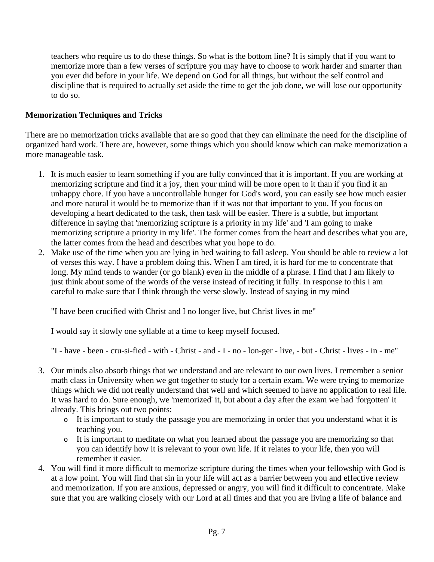teachers who require us to do these things. So what is the bottom line? It is simply that if you want to memorize more than a few verses of scripture you may have to choose to work harder and smarter than you ever did before in your life. We depend on God for all things, but without the self control and discipline that is required to actually set aside the time to get the job done, we will lose our opportunity to do so.

## **Memorization Techniques and Tricks**

There are no memorization tricks available that are so good that they can eliminate the need for the discipline of organized hard work. There are, however, some things which you should know which can make memorization a more manageable task.

- 1. It is much easier to learn something if you are fully convinced that it is important. If you are working at memorizing scripture and find it a joy, then your mind will be more open to it than if you find it an unhappy chore. If you have a uncontrollable hunger for God's word, you can easily see how much easier and more natural it would be to memorize than if it was not that important to you. If you focus on developing a heart dedicated to the task, then task will be easier. There is a subtle, but important difference in saying that 'memorizing scripture is a priority in my life' and 'I am going to make memorizing scripture a priority in my life'. The former comes from the heart and describes what you are, the latter comes from the head and describes what you hope to do.
- 2. Make use of the time when you are lying in bed waiting to fall asleep. You should be able to review a lot of verses this way. I have a problem doing this. When I am tired, it is hard for me to concentrate that long. My mind tends to wander (or go blank) even in the middle of a phrase. I find that I am likely to just think about some of the words of the verse instead of reciting it fully. In response to this I am careful to make sure that I think through the verse slowly. Instead of saying in my mind

"I have been crucified with Christ and I no longer live, but Christ lives in me"

I would say it slowly one syllable at a time to keep myself focused.

"I - have - been - cru-si-fied - with - Christ - and - I - no - lon-ger - live, - but - Christ - lives - in - me"

- 3. Our minds also absorb things that we understand and are relevant to our own lives. I remember a senior math class in University when we got together to study for a certain exam. We were trying to memorize things which we did not really understand that well and which seemed to have no application to real life. It was hard to do. Sure enough, we 'memorized' it, but about a day after the exam we had 'forgotten' it already. This brings out two points:
	- o It is important to study the passage you are memorizing in order that you understand what it is teaching you.
	- o It is important to meditate on what you learned about the passage you are memorizing so that you can identify how it is relevant to your own life. If it relates to your life, then you will remember it easier.
- 4. You will find it more difficult to memorize scripture during the times when your fellowship with God is at a low point. You will find that sin in your life will act as a barrier between you and effective review and memorization. If you are anxious, depressed or angry, you will find it difficult to concentrate. Make sure that you are walking closely with our Lord at all times and that you are living a life of balance and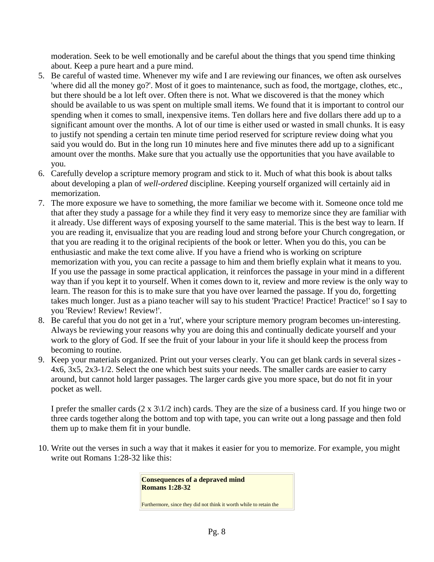moderation. Seek to be well emotionally and be careful about the things that you spend time thinking about. Keep a pure heart and a pure mind.

- 5. Be careful of wasted time. Whenever my wife and I are reviewing our finances, we often ask ourselves 'where did all the money go?'. Most of it goes to maintenance, such as food, the mortgage, clothes, etc., but there should be a lot left over. Often there is not. What we discovered is that the money which should be available to us was spent on multiple small items. We found that it is important to control our spending when it comes to small, inexpensive items. Ten dollars here and five dollars there add up to a significant amount over the months. A lot of our time is either used or wasted in small chunks. It is easy to justify not spending a certain ten minute time period reserved for scripture review doing what you said you would do. But in the long run 10 minutes here and five minutes there add up to a significant amount over the months. Make sure that you actually use the opportunities that you have available to you.
- 6. Carefully develop a scripture memory program and stick to it. Much of what this book is about talks about developing a plan of *well-ordered* discipline. Keeping yourself organized will certainly aid in memorization.
- 7. The more exposure we have to something, the more familiar we become with it. Someone once told me that after they study a passage for a while they find it very easy to memorize since they are familiar with it already. Use different ways of exposing yourself to the same material. This is the best way to learn. If you are reading it, envisualize that you are reading loud and strong before your Church congregation, or that you are reading it to the original recipients of the book or letter. When you do this, you can be enthusiastic and make the text come alive. If you have a friend who is working on scripture memorization with you, you can recite a passage to him and them briefly explain what it means to you. If you use the passage in some practical application, it reinforces the passage in your mind in a different way than if you kept it to yourself. When it comes down to it, review and more review is the only way to learn. The reason for this is to make sure that you have over learned the passage. If you do, forgetting takes much longer. Just as a piano teacher will say to his student 'Practice! Practice! Practice!' so I say to you 'Review! Review! Review!'.
- 8. Be careful that you do not get in a 'rut', where your scripture memory program becomes un-interesting. Always be reviewing your reasons why you are doing this and continually dedicate yourself and your work to the glory of God. If see the fruit of your labour in your life it should keep the process from becoming to routine.
- 9. Keep your materials organized. Print out your verses clearly. You can get blank cards in several sizes 4x6, 3x5, 2x3-1/2. Select the one which best suits your needs. The smaller cards are easier to carry around, but cannot hold larger passages. The larger cards give you more space, but do not fit in your pocket as well.

I prefer the smaller cards  $(2 \times 3)$ 1/2 inch) cards. They are the size of a business card. If you hinge two or three cards together along the bottom and top with tape, you can write out a long passage and then fold them up to make them fit in your bundle.

10. Write out the verses in such a way that it makes it easier for you to memorize. For example, you might write out Romans 1:28-32 like this:

> **Consequences of a depraved mind Romans 1:28-32**

Furthermore, since they did not think it worth while to retain the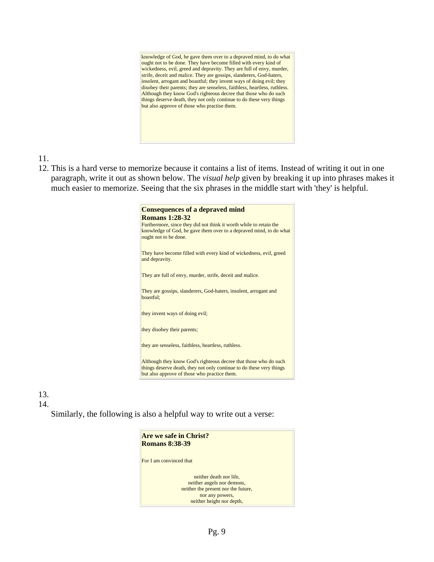knowledge of God, he gave them over to a depraved mind, to do what ought not to be done. They have become filled with every kind of wickedness, evil, greed and depravity. They are full of envy, murder, strife, deceit and malice. They are gossips, slanderers, God-haters, insolent, arrogant and boastful; they invent ways of doing evil; they disobey their parents; they are senseless, faithless, heartless, ruthless. Although they know God's righteous decree that those who do such things deserve death, they not only continue to do these very things but also approve of those who practise them.

11.

12. This is a hard verse to memorize because it contains a list of items. Instead of writing it out in one paragraph, write it out as shown below. The *visual help* given by breaking it up into phrases makes it much easier to memorize. Seeing that the six phrases in the middle start with 'they' is helpful.

| <b>Consequences of a depraved mind</b><br><b>Romans 1:28-32</b><br>Furthermore, since they did not think it worth while to retain the<br>knowledge of God, he gave them over to a depraved mind, to do what<br>ought not to be done. |
|--------------------------------------------------------------------------------------------------------------------------------------------------------------------------------------------------------------------------------------|
| They have become filled with every kind of wickedness, evil, greed<br>and depravity.                                                                                                                                                 |
| They are full of envy, murder, strife, deceit and malice.                                                                                                                                                                            |
| They are gossips, slanderers, God-haters, insolent, arrogant and<br>boastful;                                                                                                                                                        |
| they invent ways of doing evil;                                                                                                                                                                                                      |
| they disobey their parents;                                                                                                                                                                                                          |
| they are senseless, faithless, heartless, ruthless.                                                                                                                                                                                  |
| Although they know God's righteous decree that those who do such<br>things deserve death, they not only continue to do these very things<br>but also approve of those who practice them.                                             |

13.

#### 14.

Similarly, the following is also a helpful way to write out a verse:

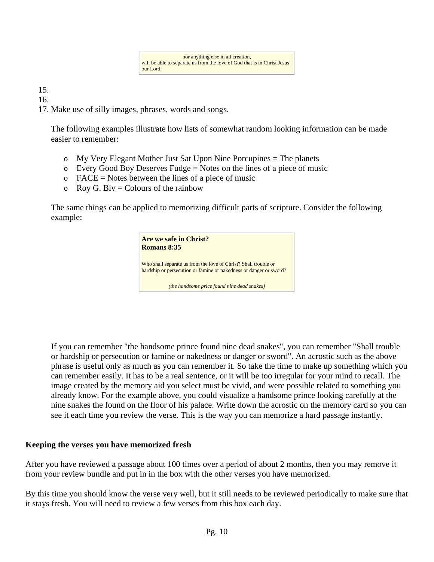15.

16.

17. Make use of silly images, phrases, words and songs.

The following examples illustrate how lists of somewhat random looking information can be made easier to remember:

- $\circ$  My Very Elegant Mother Just Sat Upon Nine Porcupines = The planets
- $\circ$  Every Good Boy Deserves Fudge = Notes on the lines of a piece of music
- $\circ$  FACE = Notes between the lines of a piece of music
- $\circ$  Roy G. Biv = Colours of the rainbow

The same things can be applied to memorizing difficult parts of scripture. Consider the following example:



If you can remember "the handsome prince found nine dead snakes", you can remember "Shall trouble or hardship or persecution or famine or nakedness or danger or sword". An acrostic such as the above phrase is useful only as much as you can remember it. So take the time to make up something which you can remember easily. It has to be a real sentence, or it will be too irregular for your mind to recall. The image created by the memory aid you select must be vivid, and were possible related to something you already know. For the example above, you could visualize a handsome prince looking carefully at the nine snakes the found on the floor of his palace. Write down the acrostic on the memory card so you can see it each time you review the verse. This is the way you can memorize a hard passage instantly.

## **Keeping the verses you have memorized fresh**

After you have reviewed a passage about 100 times over a period of about 2 months, then you may remove it from your review bundle and put in in the box with the other verses you have memorized.

By this time you should know the verse very well, but it still needs to be reviewed periodically to make sure that it stays fresh. You will need to review a few verses from this box each day.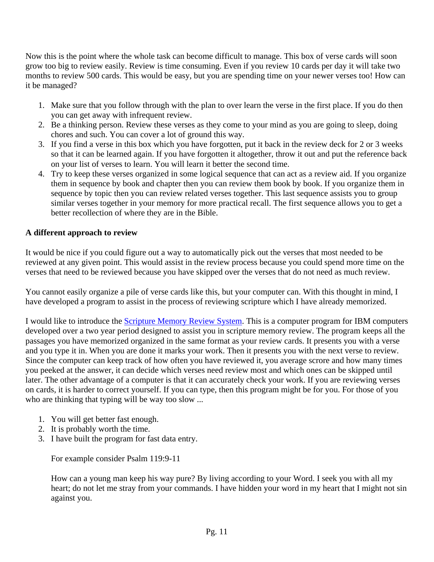Now this is the point where the whole task can become difficult to manage. This box of verse cards will soon grow too big to review easily. Review is time consuming. Even if you review 10 cards per day it will take two months to review 500 cards. This would be easy, but you are spending time on your newer verses too! How can it be managed?

- 1. Make sure that you follow through with the plan to over learn the verse in the first place. If you do then you can get away with infrequent review.
- 2. Be a thinking person. Review these verses as they come to your mind as you are going to sleep, doing chores and such. You can cover a lot of ground this way.
- 3. If you find a verse in this box which you have forgotten, put it back in the review deck for 2 or 3 weeks so that it can be learned again. If you have forgotten it altogether, throw it out and put the reference back on your list of verses to learn. You will learn it better the second time.
- 4. Try to keep these verses organized in some logical sequence that can act as a review aid. If you organize them in sequence by book and chapter then you can review them book by book. If you organize them in sequence by topic then you can review related verses together. This last sequence assists you to group similar verses together in your memory for more practical recall. The first sequence allows you to get a better recollection of where they are in the Bible.

# **A different approach to review**

It would be nice if you could figure out a way to automatically pick out the verses that most needed to be reviewed at any given point. This would assist in the review process because you could spend more time on the verses that need to be reviewed because you have skipped over the verses that do not need as much review.

You cannot easily organize a pile of verse cards like this, but your computer can. With this thought in mind, I have developed a program to assist in the process of reviewing scripture which I have already memorized.

I would like to introduce the [Scripture Memory Review System.](http://www.memoryverses.org/smc/sms.htm) This is a computer program for IBM computers developed over a two year period designed to assist you in scripture memory review. The program keeps all the passages you have memorized organized in the same format as your review cards. It presents you with a verse and you type it in. When you are done it marks your work. Then it presents you with the next verse to review. Since the computer can keep track of how often you have reviewed it, you average scrore and how many times you peeked at the answer, it can decide which verses need review most and which ones can be skipped until later. The other advantage of a computer is that it can accurately check your work. If you are reviewing verses on cards, it is harder to correct yourself. If you can type, then this program might be for you. For those of you who are thinking that typing will be way too slow ...

- 1. You will get better fast enough.
- 2. It is probably worth the time.
- 3. I have built the program for fast data entry.

For example consider Psalm 119:9-11

How can a young man keep his way pure? By living according to your Word. I seek you with all my heart; do not let me stray from your commands. I have hidden your word in my heart that I might not sin against you.